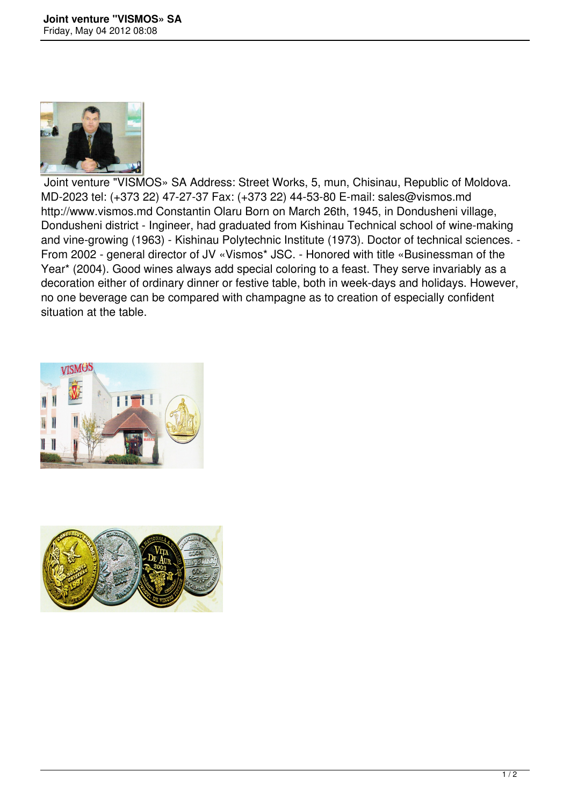

 Joint venture "VISMOS» SA Address: Street Works, 5, mun, Chisinau, Republic of Moldova. MD-2023 tel: (+373 22) 47-27-37 Fax: (+373 22) 44-53-80 E-mail: sales@vismos.md http://www.vismos.md Constantin Olaru Born on March 26th, 1945, in Dondusheni village, Dondusheni district - Ingineer, had graduated from Kishinau Technical school of wine-making and vine-growing (1963) - Kishinau Polytechnic Institute (1973). Doctor of technical sciences. - From 2002 - general director of JV «Vismos\* JSC. - Honored with title «Businessman of the Year\* (2004). Good wines always add special coloring to a feast. They serve invariably as a decoration either of ordinary dinner or festive table, both in week-days and holidays. However, no one beverage can be compared with champagne as to creation of especially confident situation at the table.